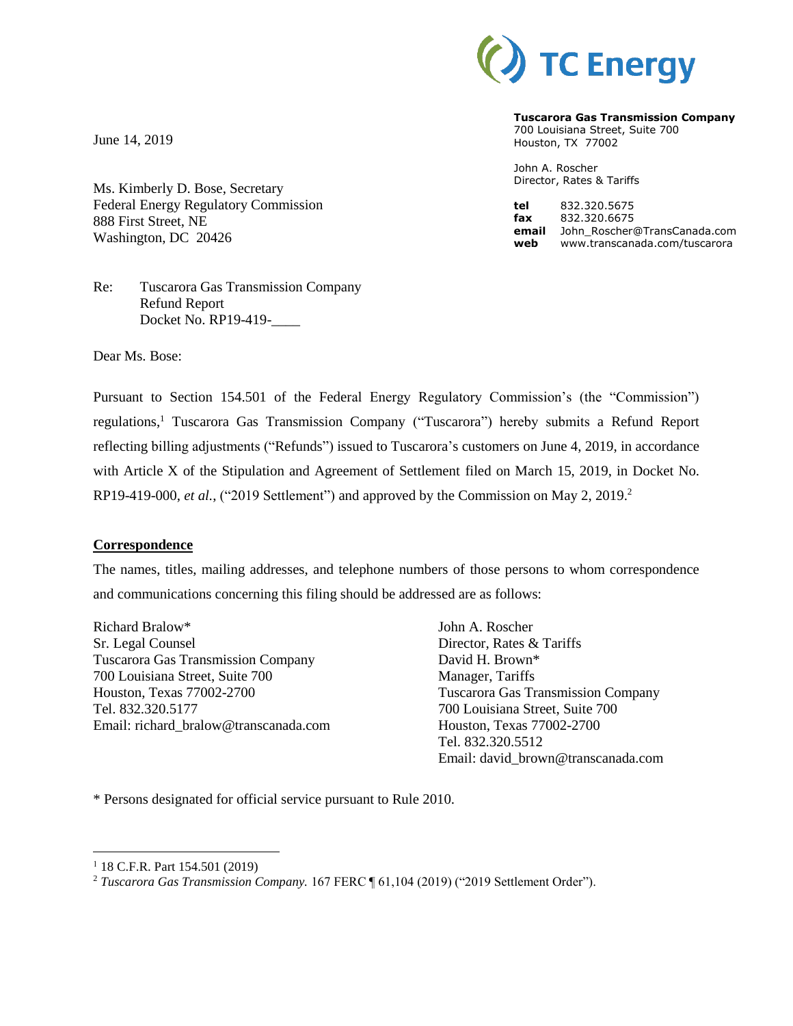

**Tuscarora Gas Transmission Company** 700 Louisiana Street, Suite 700 Houston, TX 77002

John A. Roscher Director, Rates & Tariffs

**tel** 832.320.5675 **fax** 832.320.6675 **email** John\_Roscher@TransCanada.com **web** www.transcanada.com/tuscarora

June 14, 2019

Ms. Kimberly D. Bose, Secretary Federal Energy Regulatory Commission 888 First Street, NE Washington, DC 20426

Re: Tuscarora Gas Transmission Company Refund Report Docket No. RP19-419-\_\_\_\_

Dear Ms. Bose:

Pursuant to Section 154.501 of the Federal Energy Regulatory Commission's (the "Commission") regulations,<sup>1</sup> Tuscarora Gas Transmission Company ("Tuscarora") hereby submits a Refund Report reflecting billing adjustments ("Refunds") issued to Tuscarora's customers on June 4, 2019, in accordance with Article X of the Stipulation and Agreement of Settlement filed on March 15, 2019, in Docket No. RP19-419-000, et al., ("2019 Settlement") and approved by the Commission on May 2, 2019.<sup>2</sup>

## **Correspondence**

The names, titles, mailing addresses, and telephone numbers of those persons to whom correspondence and communications concerning this filing should be addressed are as follows:

Richard Bralow\* Sr. Legal Counsel Tuscarora Gas Transmission Company 700 Louisiana Street, Suite 700 Houston, Texas 77002-2700 Tel. 832.320.5177 Email: richard\_bralow@transcanada.com

John A. Roscher Director, Rates & Tariffs David H. Brown\* Manager, Tariffs Tuscarora Gas Transmission Company 700 Louisiana Street, Suite 700 Houston, Texas 77002-2700 Tel. 832.320.5512 Email: david\_brown@transcanada.com

\* Persons designated for official service pursuant to Rule 2010.

 $\overline{a}$ 

<sup>&</sup>lt;sup>1</sup> 18 C.F.R. Part 154.501 (2019)

<sup>2</sup> *Tuscarora Gas Transmission Company.* 167 FERC ¶ 61,104 (2019) ("2019 Settlement Order").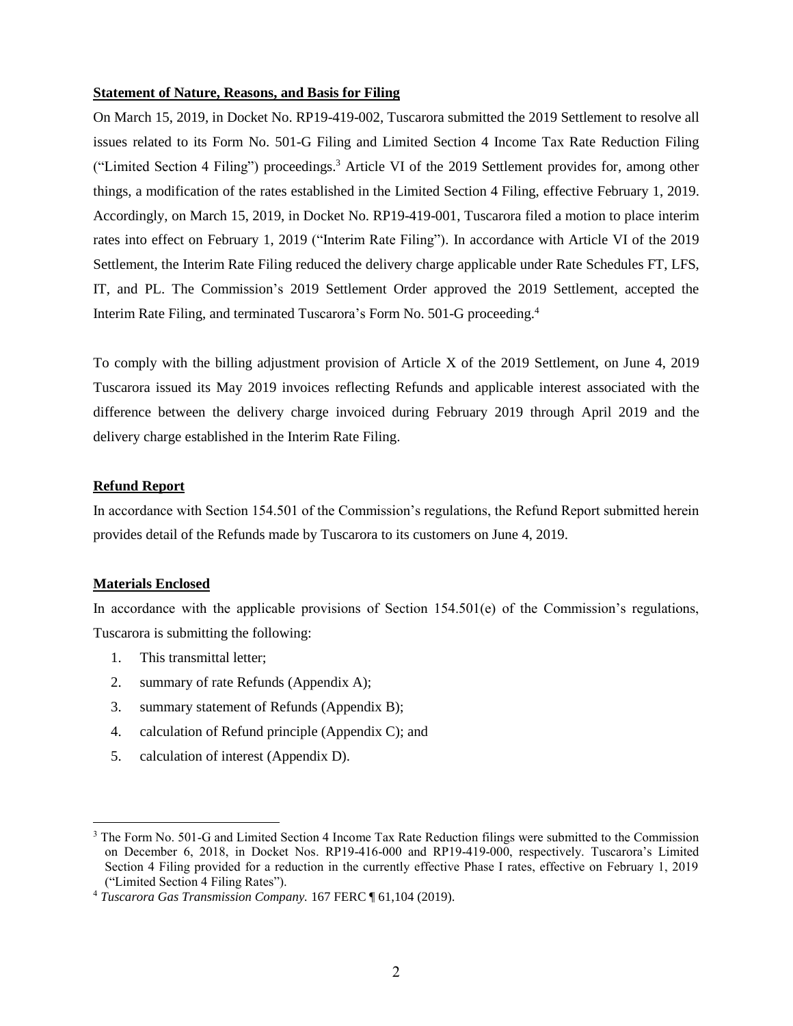### **Statement of Nature, Reasons, and Basis for Filing**

On March 15, 2019, in Docket No. RP19-419-002, Tuscarora submitted the 2019 Settlement to resolve all issues related to its Form No. 501-G Filing and Limited Section 4 Income Tax Rate Reduction Filing ("Limited Section 4 Filing") proceedings. <sup>3</sup> Article VI of the 2019 Settlement provides for, among other things, a modification of the rates established in the Limited Section 4 Filing, effective February 1, 2019. Accordingly, on March 15, 2019, in Docket No. RP19-419-001, Tuscarora filed a motion to place interim rates into effect on February 1, 2019 ("Interim Rate Filing"). In accordance with Article VI of the 2019 Settlement, the Interim Rate Filing reduced the delivery charge applicable under Rate Schedules FT, LFS, IT, and PL. The Commission's 2019 Settlement Order approved the 2019 Settlement, accepted the Interim Rate Filing, and terminated Tuscarora's Form No. 501-G proceeding.<sup>4</sup>

To comply with the billing adjustment provision of Article X of the 2019 Settlement, on June 4, 2019 Tuscarora issued its May 2019 invoices reflecting Refunds and applicable interest associated with the difference between the delivery charge invoiced during February 2019 through April 2019 and the delivery charge established in the Interim Rate Filing.

## **Refund Report**

In accordance with Section 154.501 of the Commission's regulations, the Refund Report submitted herein provides detail of the Refunds made by Tuscarora to its customers on June 4, 2019.

## **Materials Enclosed**

 $\overline{a}$ 

In accordance with the applicable provisions of Section 154.501(e) of the Commission's regulations, Tuscarora is submitting the following:

- 1. This transmittal letter;
- 2. summary of rate Refunds (Appendix A);
- 3. summary statement of Refunds (Appendix B);
- 4. calculation of Refund principle (Appendix C); and
- 5. calculation of interest (Appendix D).

<sup>3</sup> The Form No. 501-G and Limited Section 4 Income Tax Rate Reduction filings were submitted to the Commission on December 6, 2018, in Docket Nos. RP19-416-000 and RP19-419-000, respectively. Tuscarora's Limited Section 4 Filing provided for a reduction in the currently effective Phase I rates, effective on February 1, 2019 ("Limited Section 4 Filing Rates").

<sup>4</sup> *Tuscarora Gas Transmission Company.* 167 FERC ¶ 61,104 (2019).